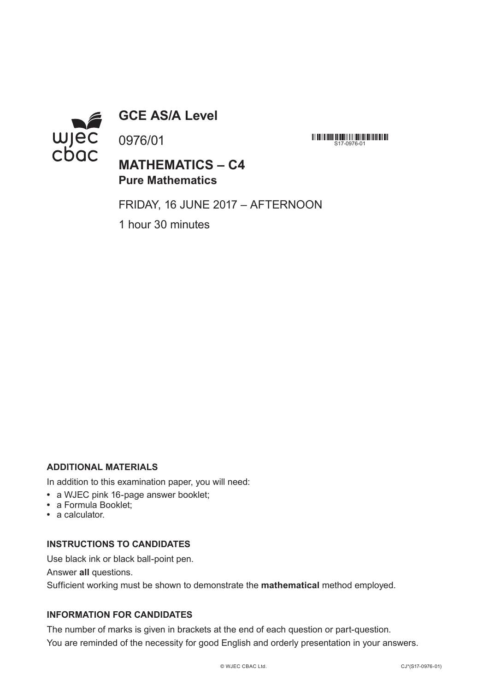

**GCE AS/A Level**

0976/01

**MATHEMATICS – C4 Pure Mathematics**

FRIDAY, 16 JUNE 2017 – AFTERNOON

S17-0976-01

1 hour 30 minutes

#### **ADDITIONAL MATERIALS**

In addition to this examination paper, you will need:

- **•** a WJEC pink 16-page answer booklet;
- **•** a Formula Booklet;
- **•** a calculator.

#### **INSTRUCTIONS TO CANDIDATES**

Use black ink or black ball-point pen.

Answer **all** questions.

Sufficient working must be shown to demonstrate the **mathematical** method employed.

## **INFORMATION FOR CANDIDATES**

The number of marks is given in brackets at the end of each question or part-question. You are reminded of the necessity for good English and orderly presentation in your answers.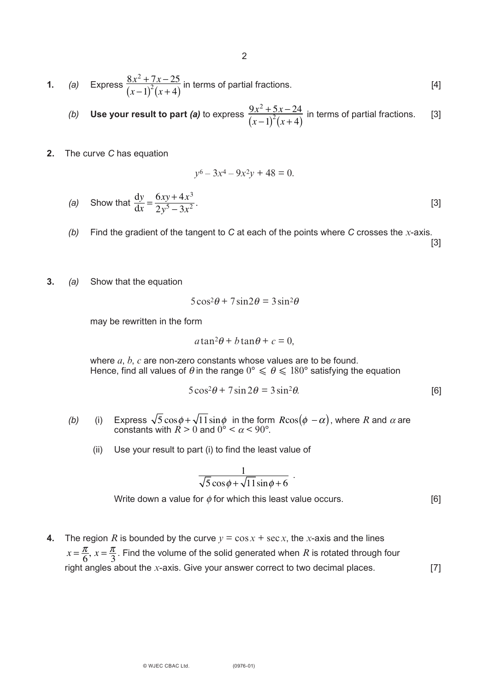**1.** (a) Express 
$$
\frac{8x^2 + 7x - 25}{(x-1)^2(x+4)}
$$
 in terms of partial fractions. [4]

 $y^6 - 3x^4 - 9x^2y + 48 = 0.$ 

(b) Use your result to part (a) to express 
$$
\frac{9x^2 + 5x - 24}{(x-1)^2(x+4)}
$$
 in terms of partial fractions. [3]

**2.** The curve *C* has equation

(a) Show that 
$$
\frac{dy}{dx} = \frac{6xy + 4x^3}{2y^5 - 3x^2}
$$
. [3]

*(b)* Find the gradient of the tangent to *C* at each of the points where *C* crosses the *x*-axis.

[3]

**3.** *(a)* Show that the equation

$$
5\cos^2\theta + 7\sin 2\theta = 3\sin^2\theta
$$

may be rewritten in the form

$$
a\tan^2\theta + b\tan\theta + c = 0,
$$

 where *a*, *b*, *c* are non-zero constants whose values are to be found. Hence, find all values of  $\theta$  in the range  $0^{\circ} \leqslant \theta \leqslant 180^{\circ}$  satisfying the equation

$$
5\cos^2\theta + 7\sin 2\theta = 3\sin^2\theta.
$$
 [6]

- *(b)* (i) Express  $\sqrt{5} \cos \phi + \sqrt{11} \sin \phi$  in the form  $R \cos(\phi \alpha)$ , where *R* and  $\alpha$  are constants with  $R \geq 0$  and  $0^{\circ} \leq \alpha \leq 90^{\circ}$ .  $5\cos\phi + \sqrt{11}\sin\phi~$  in the form  $R\cos(\phi~-\alpha)$ 
	- (ii) Use your result to part (i) to find the least value of

$$
\frac{1}{\sqrt{5}\cos\phi + \sqrt{11}\sin\phi + 6}
$$

Write down a value for  $\phi$  for which this least value occurs. [6]

.

**4.** The region *R* is bounded by the curve  $y = \cos x + \sec x$ , the *x*-axis and the lines  $x = \frac{\pi}{6}$ ,  $x = \frac{\pi}{3}$ . Find the volume of the solid generated when *R* is rotated through four right angles about the *x*-axis. Give your answer correct to two decimal places. [7]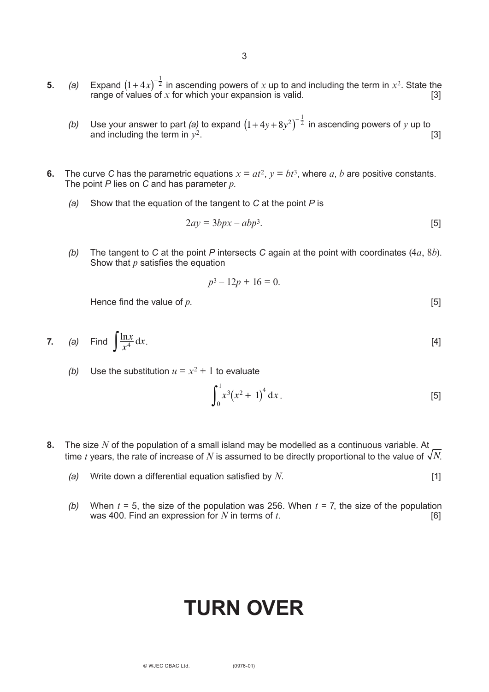- **5.** *(a)* Expand  $(1+4x)^{-2}$  in ascending powers of x up to and including the term in  $x^2$ . State the range of values of  $x$  for which your expansion is valid.  $[3]$  $(1+4x)^{-\frac{1}{2}}$ 
	- *(b)* Use your answer to part *(a)* to expand  $(1 + 4y + 8y^2)^{-\frac{1}{2}}$  in ascending powers of *y* up to and including the term in  $v^2$ . **Example 1 C Example 1 C Example 1 C EXAMPLE 13**
- **6.** The curve C has the parametric equations  $x = at^2$ ,  $y = bt^3$ , where *a*, *b* are positive constants. The point *P* lies on *C* and has parameter *p*.
	- *(a)* Show that the equation of the tangent to *C* at the point *P* is

$$
2ay = 3bpx - abp^3.
$$
 [5]

*(b)* The tangent to *C* at the point *P* intersects *C* again at the point with coordinates (4*a*, 8*b*). Show that *p* satisfies the equation

$$
p^3 - 12p + 16 = 0.
$$

Hence find the value of  $p$ .  $[5]$ 

**7.** *(a)* Find  $\int \frac{\ln x}{x^4} dx$ . [4]

*(b)* Use the substitution  $u = x^2 + 1$  to evaluate

$$
\int_0^1 x^3 (x^2 + 1)^4 dx.
$$
 [5]

- **8.** The size *N* of the population of a small island may be modelled as a continuous variable. At time  $t$  years, the rate of increase of  $N$  is assumed to be directly proportional to the value of  $\sqrt{N}$ .
	- *(a)* Write down a differential equation satisfied by *N*. [1]
	- *(b)* When  $t = 5$ , the size of the population was 256. When  $t = 7$ , the size of the population was 400. Find an expression for  $N$  in terms of  $t$ . was 400. Find an expression for  $N$  in terms of  $t$ .

# **TURN OVER**